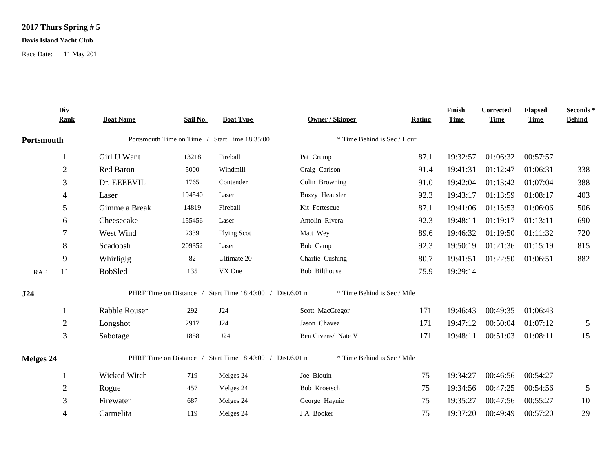## **2017 Thurs Spring # 5**

## **Davis Island Yacht Club**

Race Date: 11 May 201

|                  | Div<br><b>Rank</b> | <b>Boat Name</b>                              | Sail No. | <b>Boat Type</b>                                          | <b>Owner / Skipper</b>      | <b>Rating</b> | Finish<br><b>Time</b> | Corrected<br><b>Time</b> | <b>Elapsed</b><br><b>Time</b> | Seconds*<br><b>Behind</b> |
|------------------|--------------------|-----------------------------------------------|----------|-----------------------------------------------------------|-----------------------------|---------------|-----------------------|--------------------------|-------------------------------|---------------------------|
| Portsmouth       |                    | Portsmouth Time on Time / Start Time 18:35:00 |          | * Time Behind is Sec / Hour                               |                             |               |                       |                          |                               |                           |
|                  |                    | Girl U Want                                   | 13218    | Fireball                                                  | Pat Crump                   | 87.1          | 19:32:57              | 01:06:32                 | 00:57:57                      |                           |
|                  | $\mathbf{2}$       | Red Baron                                     | 5000     | Windmill                                                  | Craig Carlson               | 91.4          | 19:41:31              | 01:12:47                 | 01:06:31                      | 338                       |
|                  | 3                  | Dr. EEEEVIL                                   | 1765     | Contender                                                 | Colin Browning              | 91.0          | 19:42:04              | 01:13:42                 | 01:07:04                      | 388                       |
|                  | 4                  | Laser                                         | 194540   | Laser                                                     | <b>Buzzy Heausler</b>       | 92.3          | 19:43:17              | 01:13:59                 | 01:08:17                      | 403                       |
|                  | 5                  | Gimme a Break                                 | 14819    | Fireball                                                  | Kit Fortescue               | 87.1          | 19:41:06              | 01:15:53                 | 01:06:06                      | 506                       |
|                  | 6                  | Cheesecake                                    | 155456   | Laser                                                     | Antolin Rivera              | 92.3          | 19:48:11              | 01:19:17                 | 01:13:11                      | 690                       |
|                  | 7                  | West Wind                                     | 2339     | <b>Flying Scot</b>                                        | Matt Wey                    | 89.6          | 19:46:32              | 01:19:50                 | 01:11:32                      | 720                       |
|                  | 8                  | Scadoosh                                      | 209352   | Laser                                                     | Bob Camp                    | 92.3          | 19:50:19              | 01:21:36                 | 01:15:19                      | 815                       |
|                  | 9                  | Whirligig                                     | 82       | Ultimate 20                                               | Charlie Cushing             | 80.7          | 19:41:51              | 01:22:50                 | 01:06:51                      | 882                       |
| RAF              | 11                 | <b>BobSled</b>                                | 135      | VX One                                                    | Bob Bilthouse               | 75.9          | 19:29:14              |                          |                               |                           |
| J24              |                    |                                               |          | PHRF Time on Distance / Start Time 18:40:00 / Dist.6.01 n | * Time Behind is Sec / Mile |               |                       |                          |                               |                           |
|                  |                    | Rabble Rouser                                 | 292      | <b>J24</b>                                                | Scott MacGregor             | 171           | 19:46:43              | 00:49:35                 | 01:06:43                      |                           |
|                  | $\overline{2}$     | Longshot                                      | 2917     | J24                                                       | Jason Chavez                | 171           | 19:47:12              | 00:50:04                 | 01:07:12                      | $\sqrt{5}$                |
|                  | 3                  | Sabotage                                      | 1858     | J24                                                       | Ben Givens/ Nate V          | 171           | 19:48:11              | 00:51:03                 | 01:08:11                      | 15                        |
| <b>Melges 24</b> |                    |                                               |          | PHRF Time on Distance / Start Time 18:40:00 / Dist.6.01 n | * Time Behind is Sec / Mile |               |                       |                          |                               |                           |
|                  |                    | Wicked Witch                                  | 719      | Melges 24                                                 | Joe Blouin                  | 75            | 19:34:27              | 00:46:56                 | 00:54:27                      |                           |
|                  | 2                  | Rogue                                         | 457      | Melges 24                                                 | Bob Kroetsch                | 75            | 19:34:56              | 00:47:25                 | 00:54:56                      | 5                         |
|                  | 3                  | Firewater                                     | 687      | Melges 24                                                 | George Haynie               | 75            | 19:35:27              | 00:47:56                 | 00:55:27                      | 10                        |
|                  | 4                  | Carmelita                                     | 119      | Melges 24                                                 | J A Booker                  | 75            | 19:37:20              | 00:49:49                 | 00:57:20                      | 29                        |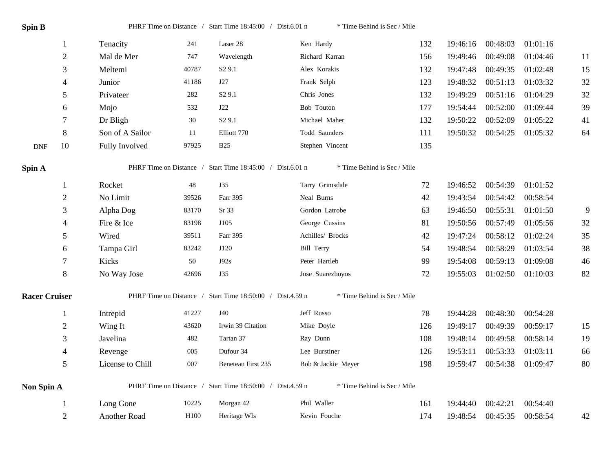| Spin B               |                |                  |                  | PHRF Time on Distance / Start Time 18:45:00 / Dist.6.01 n | * Time Behind is Sec / Mile |     |          |          |          |                |
|----------------------|----------------|------------------|------------------|-----------------------------------------------------------|-----------------------------|-----|----------|----------|----------|----------------|
|                      | $\mathbf{1}$   | Tenacity         | 241              | Laser 28                                                  | Ken Hardy                   | 132 | 19:46:16 | 00:48:03 | 01:01:16 |                |
|                      | $\overline{2}$ | Mal de Mer       | 747              | Wavelength                                                | Richard Karran              | 156 | 19:49:46 | 00:49:08 | 01:04:46 | 11             |
|                      | 3              | Meltemi          | 40787            | S <sub>2</sub> 9.1                                        | Alex Korakis                | 132 | 19:47:48 | 00:49:35 | 01:02:48 | 15             |
|                      | $\overline{4}$ | Junior           | 41186            | J27                                                       | Frank Selph                 | 123 | 19:48:32 | 00:51:13 | 01:03:32 | 32             |
|                      | $\mathfrak{S}$ | Privateer        | 282              | S <sub>2</sub> 9.1                                        | Chris Jones                 | 132 | 19:49:29 | 00:51:16 | 01:04:29 | 32             |
|                      | 6              | Mojo             | 532              | J22                                                       | Bob Touton                  | 177 | 19:54:44 | 00:52:00 | 01:09:44 | 39             |
|                      | $\tau$         | Dr Bligh         | 30               | S <sub>2</sub> 9.1                                        | Michael Maher               | 132 | 19:50:22 | 00:52:09 | 01:05:22 | 41             |
|                      | 8              | Son of A Sailor  | 11               | Elliott 770                                               | Todd Saunders               | 111 | 19:50:32 | 00:54:25 | 01:05:32 | 64             |
| <b>DNF</b>           | 10             | Fully Involved   | 97925            | <b>B25</b>                                                | Stephen Vincent             | 135 |          |          |          |                |
| Spin A               |                |                  |                  | PHRF Time on Distance / Start Time 18:45:00 / Dist.6.01 n | * Time Behind is Sec / Mile |     |          |          |          |                |
|                      | $\mathbf{1}$   | Rocket           | 48               | <b>J35</b>                                                | Tarry Grimsdale             | 72  | 19:46:52 | 00:54:39 | 01:01:52 |                |
|                      | $\overline{2}$ | No Limit         | 39526            | Farr 395                                                  | Neal Burns                  | 42  | 19:43:54 | 00:54:42 | 00:58:54 |                |
|                      | 3              | Alpha Dog        | 83170            | Sr <sub>33</sub>                                          | Gordon Latrobe              | 63  | 19:46:50 | 00:55:31 | 01:01:50 | $\overline{9}$ |
|                      | $\overline{4}$ | Fire & Ice       | 83198            | J105                                                      | George Cussins              | 81  | 19:50:56 | 00:57:49 | 01:05:56 | 32             |
|                      | 5              | Wired            | 39511            | Farr 395                                                  | Achilles/ Brocks            | 42  | 19:47:24 | 00:58:12 | 01:02:24 | 35             |
|                      | 6              | Tampa Girl       | 83242            | J120                                                      | Bill Terry                  | 54  | 19:48:54 | 00:58:29 | 01:03:54 | 38             |
|                      | 7              | Kicks            | 50               | J92s                                                      | Peter Hartleb               | 99  | 19:54:08 | 00:59:13 | 01:09:08 | 46             |
|                      | 8              | No Way Jose      | 42696            | J35                                                       | Jose Suarezhoyos            | 72  | 19:55:03 | 01:02:50 | 01:10:03 | 82             |
|                      |                |                  |                  | PHRF Time on Distance / Start Time 18:50:00 / Dist.4.59 n | * Time Behind is Sec / Mile |     |          |          |          |                |
| <b>Racer Cruiser</b> |                |                  |                  |                                                           |                             |     |          |          |          |                |
|                      | $\mathbf{1}$   | Intrepid         | 41227            | <b>J40</b>                                                | Jeff Russo                  | 78  | 19:44:28 | 00:48:30 | 00:54:28 |                |
|                      | $\sqrt{2}$     | Wing It          | 43620            | Irwin 39 Citation                                         | Mike Doyle                  | 126 | 19:49:17 | 00:49:39 | 00:59:17 | 15             |
|                      | 3              | Javelina         | 482              | Tartan 37                                                 | Ray Dunn                    | 108 | 19:48:14 | 00:49:58 | 00:58:14 | 19             |
|                      | $\overline{4}$ | Revenge          | 005              | Dufour 34                                                 | Lee Burstiner               | 126 | 19:53:11 | 00:53:33 | 01:03:11 | 66             |
|                      | $\mathfrak{S}$ | License to Chill | 007              | Beneteau First 235                                        | Bob & Jackie Meyer          | 198 | 19:59:47 | 00:54:38 | 01:09:47 | 80             |
| Non Spin A           |                |                  |                  | PHRF Time on Distance / Start Time 18:50:00 / Dist.4.59 n | * Time Behind is Sec / Mile |     |          |          |          |                |
|                      | $\mathbf{1}$   | Long Gone        | 10225            | Morgan 42                                                 | Phil Waller                 | 161 | 19:44:40 | 00:42:21 | 00:54:40 |                |
|                      | $\overline{2}$ | Another Road     | H <sub>100</sub> | Heritage WIs                                              | Kevin Fouche                | 174 | 19:48:54 | 00:45:35 | 00:58:54 | 42             |